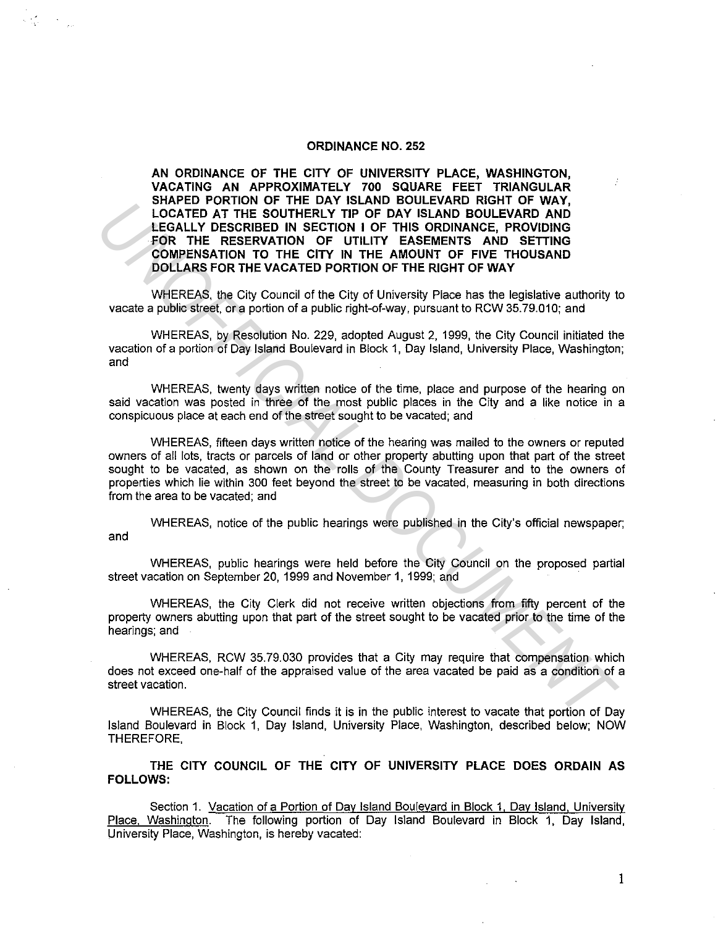## **ORDINANCE NO. 252**

 $\label{eq:2.1} \mathcal{L}=\frac{d}{d\omega}\left(\frac{d\omega}{d\omega}\right)^2\left(\frac{d\omega}{d\omega}\right)^2.$ 

**AN ORDINANCE OF THE CITY OF UNIVERSITY PLACE, WASHINGTON, VACATING AN APPROXIMATELY 700 SQUARE FEET TRIANGULAR SHAPED PORTION OF THE DAY ISLAND BOULEVARD RIGHT OF WAY, LOCATED AT THE SOUTHERLY TIP OF DAY ISLAND BOULEVARD AND LEGALLY DESCRIBED IN SECTION I OF THIS ORDINANCE, PROVIDING FOR THE RESERVATION OF UTILITY EASEMENTS AND SETTING COMPENSATION TO THE CITY IN THE AMOUNT OF FIVE THOUSAND DOLLARS FOR THE VACATED PORTION OF THE RIGHT OF WAY** 

WHEREAS, the City Council of the City of University Place has the legislative authority to vacate a public street, or a portion of a public right-of-way, pursuant to RCW 35.79.010; and

WHEREAS, by Resolution No. 229, adopted August 2, 1999, the City Council initiated the vacation of a portion of Day Island Boulevard in Block 1, Day Island, University Place, Washington; and

WHEREAS, twenty days written notice of the time, place and purpose of the hearing on said vacation was posted in three of the most public places in the City and a like notice in a conspicuous place at each end of the street sought to be vacated; and

WHEREAS, fifteen days written notice of the hearing was mailed to the owners or reputed owners of all lots, tracts or parcels of land or other property abutting upon that part of the street sought to be vacated, as shown on the rolls of the County Treasurer and to the owners of properties which lie within 300 feet beyond the street to be vacated, measuring in both directions from the area to be vacated; and **UNCREAS, member on the mail of the City of The City is the City of The City of The City of The City of The City of The City of The City of The City of The City of The City of Direction Contents and City of The City of UNL** 

WHEREAS, notice of the public hearings were published in the City's official newspaper; and

WHEREAS, public hearings were held before the City Council on the proposed partial street vacation on September 20, 1999 and November 1, 1999; and

WHEREAS, the City Clerk did not receive written objections from fifty percent of the property owners abutting upon that part of the street sought to be vacated prior to the time of the hearings; and

WHEREAS, RCW 35.79.030 provides that a City may require that compensation which does not exceed one-half of the appraised value of the area vacated be paid as a condition of a street vacation.

WHEREAS, the City Council finds it is in the public interest to vacate that portion of Day Island Boulevard in Block 1, Day Island, University Place, Washington, described below; NOW THEREFORE,

**THE CITY COUNCIL OF THE CITY OF UNIVERSITY PLACE DOES ORDAIN AS FOLLOWS:** 

Section 1. Vacation of a Portion of Day Island Boulevard in Block 1, Day Island, University Place, Washington. The following portion of Day Island Boulevard in Block 1, Day Island, University Place, Washington, is hereby vacated:

1